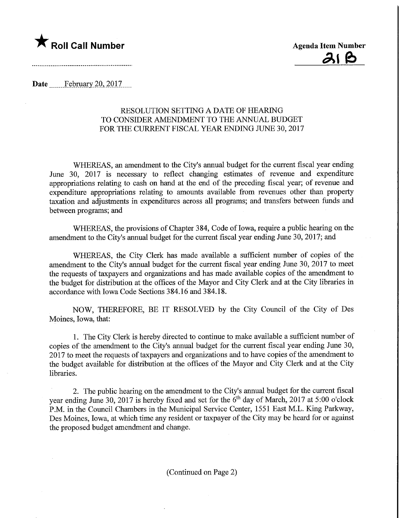



Date February 20, 2017....

## RESOLUTION SETTING A DATE OF HEARING TO CONSIDER AMENDMENT TO THE ANNUAL BUDGET FOR THE CURRENT FISCAL YEAR ENDING JUNE 30, 2017

WHEREAS, an amendment to the City's annual budget for the current fiscal year ending June 30, 2017 is necessary to reflect changing estimates of revenue and expenditure appropriations relating to cash on hand at the end of the preceding fiscal year; of revenue and expenditure appropriations relating to amounts available from revenues other than property taxation and adjustments in expenditures across all programs; and transfers between funds and between programs; and

WHEREAS, the provisions of Chapter 384, Code of Iowa, require a public hearing on the amendment to the City's annual budget for the current fiscal year ending June 30, 2017; and

WHEREAS, the City Clerk has made available a sufficient number of copies of the amendment to the City's annual budget for the current fiscal year ending June 30, 2017 to meet the requests of taxpayers and organizations and has made available copies of the amendment to the budget for distribution at the offices of the Mayor and City Clerk and at the City libraries in accordance with Iowa Code Sections 384.16 and 384.18.

NOW, THEREFORE, BE IT RESOLVED by the City Council of the City of Des Moines, Iowa, that:

1. The City Clerk is hereby directed to continue to make available a sufficient number of copies of the amendment to the City's annual budget for the current fiscal year ending June 30, 2017 to meet the requests of taxpayers and organizations and to have copies of the amendment to the budget available for distribution at the offices of the Mayor and City Clerk and at the City libraries.

2. The public hearing on the amendment to the City's annual budget for the current fiscal year ending June 30, 2017 is hereby fixed and set for the 6<sup>th</sup> day of March, 2017 at 5:00 o'clock P.M. in the Council Chambers in the Municipal Service Center, 1551 East M.L. King Parkway, Des Moines, Iowa, at which time any resident or taxpayer of the City may be heard for or against the proposed budget amendment and change.

(Continued on Page 2)